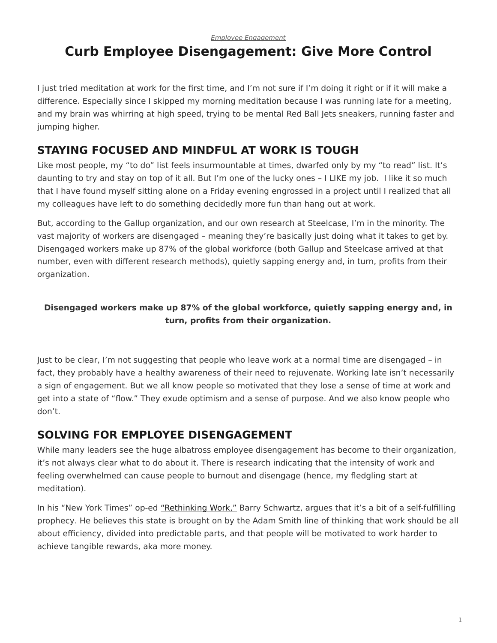*[Employee Engagement](https://www.steelcase.com/research/topics/employee-engagement/)*

# <span id="page-0-0"></span>**Curb Employee Disengagement: Give More Control**

I just tried meditation at work for the first time, and I'm not sure if I'm doing it right or if it will make a difference. Especially since I skipped my morning meditation because I was running late for a meeting, and my brain was whirring at high speed, trying to be mental Red Ball Jets sneakers, running faster and jumping higher.

## **STAYING FOCUSED AND MINDFUL AT WORK IS TOUGH**

Like most people, my "to do" list feels insurmountable at times, dwarfed only by my "to read" list. It's daunting to try and stay on top of it all. But I'm one of the lucky ones – I LIKE my job. I like it so much that I have found myself sitting alone on a Friday evening engrossed in a project until I realized that all my colleagues have left to do something decidedly more fun than hang out at work.

But, according to the Gallup organization, and our own research at Steelcase, I'm in the minority. The vast majority of workers are disengaged – meaning they're basically just doing what it takes to get by. Disengaged workers make up 87% of the global workforce (both Gallup and Steelcase arrived at that number, even with different research methods), quietly sapping energy and, in turn, profits from their organization.

### **Disengaged workers make up 87% of the global workforce, quietly sapping energy and, in turn, profits from their organization.**

Just to be clear, I'm not suggesting that people who leave work at a normal time are disengaged – in fact, they probably have a healthy awareness of their need to rejuvenate. Working late isn't necessarily a sign of engagement. But we all know people so motivated that they lose a sense of time at work and get into a state of "flow." They exude optimism and a sense of purpose. And we also know people who don't.

### **SOLVING FOR EMPLOYEE DISENGAGEMENT**

While many leaders see the huge albatross employee disengagement has become to their organization, it's not always clear what to do about it. There is research indicating that the intensity of work and feeling overwhelmed can cause people to burnout and disengage (hence, my fledgling start at meditation).

In his "New York Times" op-ed ["Rethinking Work,"](http://www.nytimes.com/2015/08/30/opinion/sunday/rethinking-work.html) Barry Schwartz, argues that it's a bit of a self-fulfilling prophecy. He believes this state is brought on by the Adam Smith line of thinking that work should be all about efficiency, divided into predictable parts, and that people will be motivated to work harder to achieve tangible rewards, aka more money.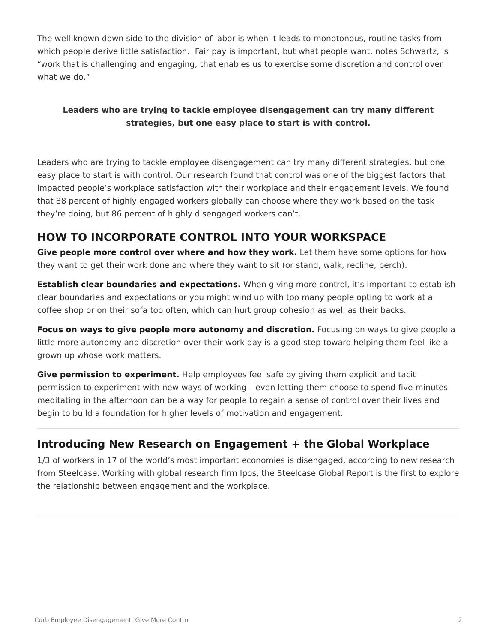The well known down side to the division of labor is when it leads to monotonous, routine tasks from which people derive little satisfaction. Fair pay is important, but what people want, notes Schwartz, is "work that is challenging and engaging, that enables us to exercise some discretion and control over what we do."

### **Leaders who are trying to tackle employee disengagement can try many different strategies, but one easy place to start is with control.**

Leaders who are trying to tackle employee disengagement can try many different strategies, but one easy place to start is with control. Our research found that control was one of the biggest factors that impacted people's workplace satisfaction with their workplace and their engagement levels. We found that 88 percent of highly engaged workers globally can choose where they work based on the task they're doing, but 86 percent of highly disengaged workers can't.

## **HOW TO INCORPORATE CONTROL INTO YOUR WORKSPACE**

**Give people more control over where and how they work.** Let them have some options for how they want to get their work done and where they want to sit (or stand, walk, recline, perch).

**Establish clear boundaries and expectations.** When giving more control, it's important to establish clear boundaries and expectations or you might wind up with too many people opting to work at a coffee shop or on their sofa too often, which can hurt group cohesion as well as their backs.

**Focus on ways to give people more autonomy and discretion.** Focusing on ways to give people a little more autonomy and discretion over their work day is a good step toward helping them feel like a grown up whose work matters.

**Give permission to experiment.** Help employees feel safe by giving them explicit and tacit permission to experiment with new ways of working – even letting them choose to spend five minutes meditating in the afternoon can be a way for people to regain a sense of control over their lives and begin to build a foundation for higher levels of motivation and engagement.

### **Introducing New Research on Engagement + the Global Workplace**

1/3 of workers in 17 of the world's most important economies is disengaged, according to new research from Steelcase. Working with global research firm Ipos, the Steelcase Global Report is the first to explore the relationship between engagement and the workplace.